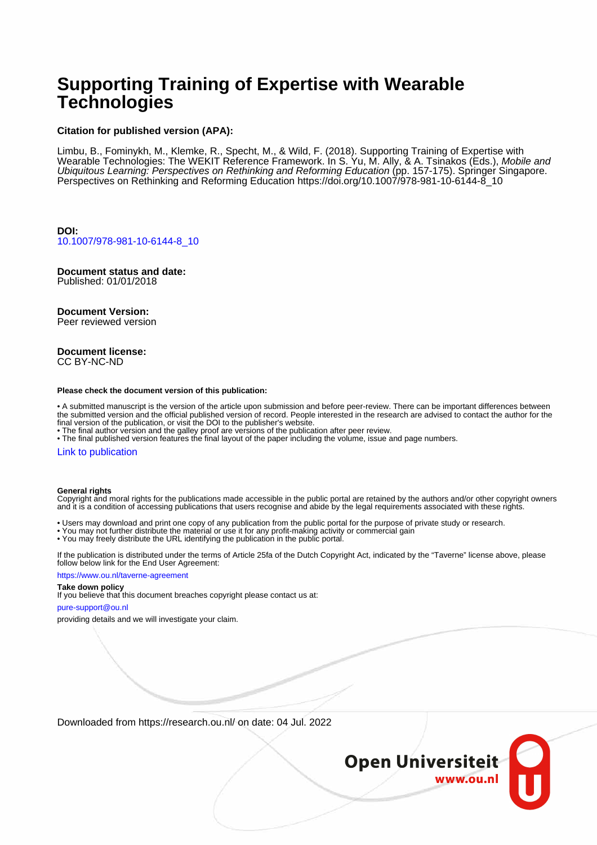# **Supporting Training of Expertise with Wearable Technologies**

#### **Citation for published version (APA):**

Limbu, B., Fominykh, M., Klemke, R., Specht, M., & Wild, F. (2018). Supporting Training of Expertise with Wearable Technologies: The WEKIT Reference Framework. In S. Yu, M. Ally, & A. Tsinakos (Eds.), *Mobile an*a Ubiquitous Learning: Perspectives on Rethinking and Reforming Education (pp. 157-175). Springer Singapore. Perspectives on Rethinking and Reforming Education [https://doi.org/10.1007/978-981-10-6144-8\\_10](https://doi.org/10.1007/978-981-10-6144-8_10)

**DOI:** [10.1007/978-981-10-6144-8\\_10](https://doi.org/10.1007/978-981-10-6144-8_10)

**Document status and date:** Published: 01/01/2018

### **Document Version:**

Peer reviewed version

#### **Document license:** CC BY-NC-ND

#### **Please check the document version of this publication:**

• A submitted manuscript is the version of the article upon submission and before peer-review. There can be important differences between the submitted version and the official published version of record. People interested in the research are advised to contact the author for the final version of the publication, or visit the DOI to the publisher's website.

• The final author version and the galley proof are versions of the publication after peer review.

• The final published version features the final layout of the paper including the volume, issue and page numbers.

#### [Link to publication](https://research.ou.nl/en/publications/85179f2e-ab35-4bed-ae40-09128bdfda2f)

#### **General rights**

Copyright and moral rights for the publications made accessible in the public portal are retained by the authors and/or other copyright owners and it is a condition of accessing publications that users recognise and abide by the legal requirements associated with these rights.

- Users may download and print one copy of any publication from the public portal for the purpose of private study or research.
- You may not further distribute the material or use it for any profit-making activity or commercial gain
- You may freely distribute the URL identifying the publication in the public portal.

If the publication is distributed under the terms of Article 25fa of the Dutch Copyright Act, indicated by the "Taverne" license above, please follow below link for the End User Agreement:

#### https://www.ou.nl/taverne-agreement

### **Take down policy**

If you believe that this document breaches copyright please contact us at:

#### pure-support@ou.nl

providing details and we will investigate your claim.

Downloaded from https://research.ou.nl/ on date: 04 Jul. 2022

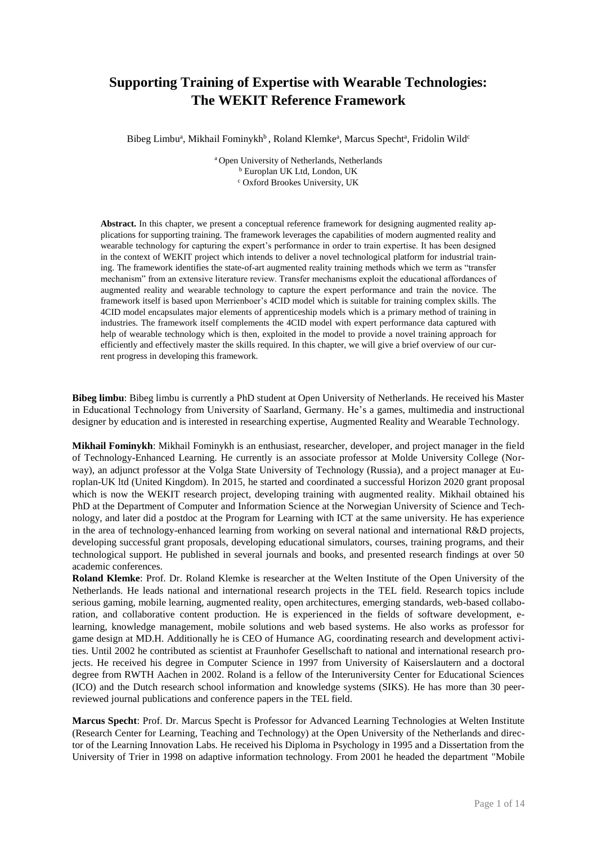## **Supporting Training of Expertise with Wearable Technologies: The WEKIT Reference Framework**

Bibeg Limbu<sup>a</sup>, Mikhail Fominykh<sup>b</sup>, Roland Klemke<sup>a</sup>, Marcus Specht<sup>a</sup>, Fridolin Wild<sup>c</sup>

<sup>a</sup> Open University of Netherlands, Netherlands <sup>b</sup> Europlan UK Ltd, London, UK <sup>c</sup> Oxford Brookes University, UK

Abstract. In this chapter, we present a conceptual reference framework for designing augmented reality applications for supporting training. The framework leverages the capabilities of modern augmented reality and wearable technology for capturing the expert's performance in order to train expertise. It has been designed in the context of WEKIT project which intends to deliver a novel technological platform for industrial training. The framework identifies the state-of-art augmented reality training methods which we term as "transfer mechanism" from an extensive literature review. Transfer mechanisms exploit the educational affordances of augmented reality and wearable technology to capture the expert performance and train the novice. The framework itself is based upon Merrienboer's 4CID model which is suitable for training complex skills. The 4CID model encapsulates major elements of apprenticeship models which is a primary method of training in industries. The framework itself complements the 4CID model with expert performance data captured with help of wearable technology which is then, exploited in the model to provide a novel training approach for efficiently and effectively master the skills required. In this chapter, we will give a brief overview of our current progress in developing this framework.

**Bibeg limbu**: Bibeg limbu is currently a PhD student at Open University of Netherlands. He received his Master in Educational Technology from University of Saarland, Germany. He's a games, multimedia and instructional designer by education and is interested in researching expertise, Augmented Reality and Wearable Technology.

**Mikhail Fominykh**: Mikhail Fominykh is an enthusiast, researcher, developer, and project manager in the field of Technology-Enhanced Learning. He currently is an associate professor at Molde University College (Norway), an adjunct professor at the Volga State University of Technology (Russia), and a project manager at Europlan-UK ltd (United Kingdom). In 2015, he started and coordinated a successful Horizon 2020 grant proposal which is now the WEKIT research project, developing training with augmented reality. Mikhail obtained his PhD at the Department of Computer and Information Science at the Norwegian University of Science and Technology, and later did a postdoc at the Program for Learning with ICT at the same university. He has experience in the area of technology-enhanced learning from working on several national and international R&D projects, developing successful grant proposals, developing educational simulators, courses, training programs, and their technological support. He published in several journals and books, and presented research findings at over 50 academic conferences.

**Roland Klemke**: Prof. Dr. Roland Klemke is researcher at the Welten Institute of the Open University of the Netherlands. He leads national and international research projects in the TEL field. Research topics include serious gaming, mobile learning, augmented reality, open architectures, emerging standards, web-based collaboration, and collaborative content production. He is experienced in the fields of software development, elearning, knowledge management, mobile solutions and web based systems. He also works as professor for game design at MD.H. Additionally he is CEO of Humance AG, coordinating research and development activities. Until 2002 he contributed as scientist at Fraunhofer Gesellschaft to national and international research projects. He received his degree in Computer Science in 1997 from University of Kaiserslautern and a doctoral degree from RWTH Aachen in 2002. Roland is a fellow of the Interuniversity Center for Educational Sciences (ICO) and the Dutch research school information and knowledge systems (SIKS). He has more than 30 peerreviewed journal publications and conference papers in the TEL field.

**Marcus Specht**: Prof. Dr. Marcus Specht is Professor for Advanced Learning Technologies at Welten Institute (Research Center for Learning, Teaching and Technology) at the Open University of the Netherlands and director of the Learning Innovation Labs. He received his Diploma in Psychology in 1995 and a Dissertation from the University of Trier in 1998 on adaptive information technology. From 2001 he headed the department "Mobile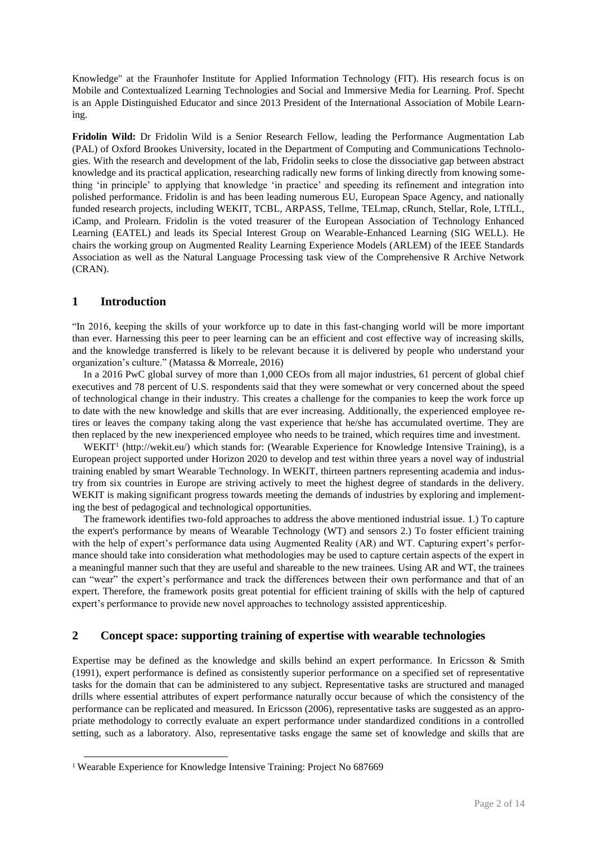Knowledge" at the Fraunhofer Institute for Applied Information Technology (FIT). His research focus is on Mobile and Contextualized Learning Technologies and Social and Immersive Media for Learning. Prof. Specht is an Apple Distinguished Educator and since 2013 President of the International Association of Mobile Learning.

**Fridolin Wild:** Dr Fridolin Wild is a Senior Research Fellow, leading the Performance Augmentation Lab (PAL) of Oxford Brookes University, located in the Department of Computing and Communications Technologies. With the research and development of the lab, Fridolin seeks to close the dissociative gap between abstract knowledge and its practical application, researching radically new forms of linking directly from knowing something 'in principle' to applying that knowledge 'in practice' and speeding its refinement and integration into polished performance. Fridolin is and has been leading numerous EU, European Space Agency, and nationally funded research projects, including WEKIT, TCBL, ARPASS, Tellme, TELmap, cRunch, Stellar, Role, LTfLL, iCamp, and Prolearn. Fridolin is the voted treasurer of the European Association of Technology Enhanced Learning (EATEL) and leads its Special Interest Group on Wearable-Enhanced Learning (SIG WELL). He chairs the working group on Augmented Reality Learning Experience Models (ARLEM) of the IEEE Standards Association as well as the Natural Language Processing task view of the Comprehensive R Archive Network (CRAN).

### **1 Introduction**

 $\overline{a}$ 

"In 2016, keeping the skills of your workforce up to date in this fast-changing world will be more important than ever. Harnessing this peer to peer learning can be an efficient and cost effective way of increasing skills, and the knowledge transferred is likely to be relevant because it is delivered by people who understand your organization's culture." (Matassa & Morreale, 2016)

In a 2016 PwC global survey of more than 1,000 CEOs from all major industries, 61 percent of global chief executives and 78 percent of U.S. respondents said that they were somewhat or very concerned about the speed of technological change in their industry. This creates a challenge for the companies to keep the work force up to date with the new knowledge and skills that are ever increasing. Additionally, the experienced employee retires or leaves the company taking along the vast experience that he/she has accumulated overtime. They are then replaced by the new inexperienced employee who needs to be trained, which requires time and investment.

WEKIT<sup>1</sup> [\(http://wekit.eu/\)](http://wekit.eu/) which stands for: (Wearable Experience for Knowledge Intensive Training), is a European project supported under Horizon 2020 to develop and test within three years a novel way of industrial training enabled by smart Wearable Technology. In WEKIT, thirteen partners representing academia and industry from six countries in Europe are striving actively to meet the highest degree of standards in the delivery. WEKIT is making significant progress towards meeting the demands of industries by exploring and implementing the best of pedagogical and technological opportunities.

The framework identifies two-fold approaches to address the above mentioned industrial issue. 1.) To capture the expert's performance by means of Wearable Technology (WT) and sensors 2.) To foster efficient training with the help of expert's performance data using Augmented Reality (AR) and WT. Capturing expert's performance should take into consideration what methodologies may be used to capture certain aspects of the expert in a meaningful manner such that they are useful and shareable to the new trainees. Using AR and WT, the trainees can "wear" the expert's performance and track the differences between their own performance and that of an expert. Therefore, the framework posits great potential for efficient training of skills with the help of captured expert's performance to provide new novel approaches to technology assisted apprenticeship.

### **2 Concept space: supporting training of expertise with wearable technologies**

Expertise may be defined as the knowledge and skills behind an expert performance. In Ericsson & Smith (1991), expert performance is defined as consistently superior performance on a specified set of representative tasks for the domain that can be administered to any subject. Representative tasks are structured and managed drills where essential attributes of expert performance naturally occur because of which the consistency of the performance can be replicated and measured. In Ericsson (2006), representative tasks are suggested as an appropriate methodology to correctly evaluate an expert performance under standardized conditions in a controlled setting, such as a laboratory. Also, representative tasks engage the same set of knowledge and skills that are

<sup>&</sup>lt;sup>1</sup> Wearable Experience for Knowledge Intensive Training: Project No 687669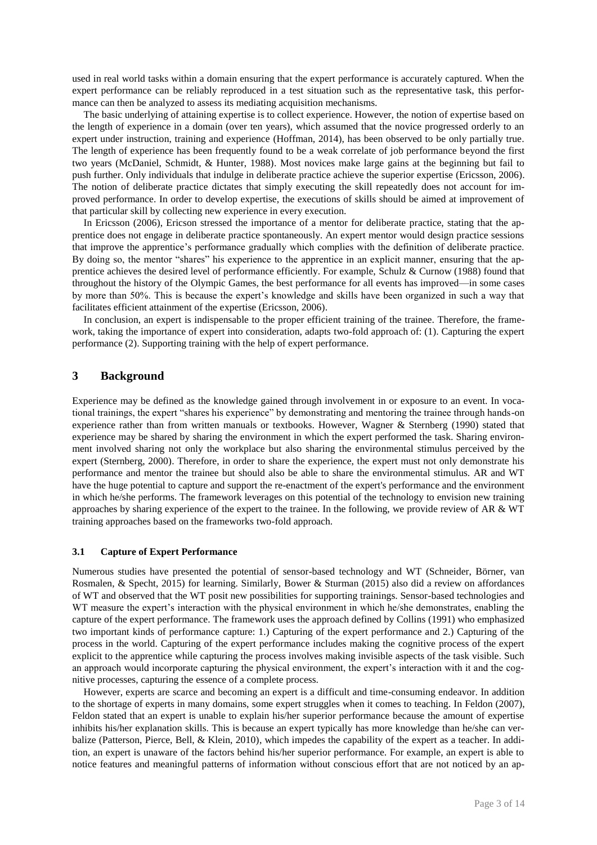used in real world tasks within a domain ensuring that the expert performance is accurately captured. When the expert performance can be reliably reproduced in a test situation such as the representative task, this performance can then be analyzed to assess its mediating acquisition mechanisms.

The basic underlying of attaining expertise is to collect experience. However, the notion of expertise based on the length of experience in a domain (over ten years), which assumed that the novice progressed orderly to an expert under instruction, training and experience (Hoffman, 2014), has been observed to be only partially true. The length of experience has been frequently found to be a weak correlate of job performance beyond the first two years (McDaniel, Schmidt, & Hunter, 1988). Most novices make large gains at the beginning but fail to push further. Only individuals that indulge in deliberate practice achieve the superior expertise (Ericsson, 2006). The notion of deliberate practice dictates that simply executing the skill repeatedly does not account for improved performance. In order to develop expertise, the executions of skills should be aimed at improvement of that particular skill by collecting new experience in every execution.

In Ericsson (2006), Ericson stressed the importance of a mentor for deliberate practice, stating that the apprentice does not engage in deliberate practice spontaneously. An expert mentor would design practice sessions that improve the apprentice's performance gradually which complies with the definition of deliberate practice. By doing so, the mentor "shares" his experience to the apprentice in an explicit manner, ensuring that the apprentice achieves the desired level of performance efficiently. For example, Schulz & Curnow (1988) found that throughout the history of the Olympic Games, the best performance for all events has improved—in some cases by more than 50%. This is because the expert's knowledge and skills have been organized in such a way that facilitates efficient attainment of the expertise (Ericsson, 2006).

In conclusion, an expert is indispensable to the proper efficient training of the trainee. Therefore, the framework, taking the importance of expert into consideration, adapts two-fold approach of: (1). Capturing the expert performance (2). Supporting training with the help of expert performance.

### **3 Background**

Experience may be defined as the knowledge gained through involvement in or exposure to an event. In vocational trainings, the expert "shares his experience" by demonstrating and mentoring the trainee through hands-on experience rather than from written manuals or textbooks. However, Wagner & Sternberg (1990) stated that experience may be shared by sharing the environment in which the expert performed the task. Sharing environment involved sharing not only the workplace but also sharing the environmental stimulus perceived by the expert (Sternberg, 2000). Therefore, in order to share the experience, the expert must not only demonstrate his performance and mentor the trainee but should also be able to share the environmental stimulus. AR and WT have the huge potential to capture and support the re-enactment of the expert's performance and the environment in which he/she performs. The framework leverages on this potential of the technology to envision new training approaches by sharing experience of the expert to the trainee. In the following, we provide review of AR & WT training approaches based on the frameworks two-fold approach.

#### **3.1 Capture of Expert Performance**

Numerous studies have presented the potential of sensor-based technology and WT (Schneider, Börner, van Rosmalen, & Specht, 2015) for learning. Similarly, Bower & Sturman (2015) also did a review on affordances of WT and observed that the WT posit new possibilities for supporting trainings. Sensor-based technologies and WT measure the expert's interaction with the physical environment in which he/she demonstrates, enabling the capture of the expert performance. The framework uses the approach defined by Collins (1991) who emphasized two important kinds of performance capture: 1.) Capturing of the expert performance and 2.) Capturing of the process in the world. Capturing of the expert performance includes making the cognitive process of the expert explicit to the apprentice while capturing the process involves making invisible aspects of the task visible. Such an approach would incorporate capturing the physical environment, the expert's interaction with it and the cognitive processes, capturing the essence of a complete process.

However, experts are scarce and becoming an expert is a difficult and time-consuming endeavor. In addition to the shortage of experts in many domains, some expert struggles when it comes to teaching. In Feldon (2007), Feldon stated that an expert is unable to explain his/her superior performance because the amount of expertise inhibits his/her explanation skills. This is because an expert typically has more knowledge than he/she can verbalize (Patterson, Pierce, Bell, & Klein, 2010), which impedes the capability of the expert as a teacher. In addition, an expert is unaware of the factors behind his/her superior performance. For example, an expert is able to notice features and meaningful patterns of information without conscious effort that are not noticed by an ap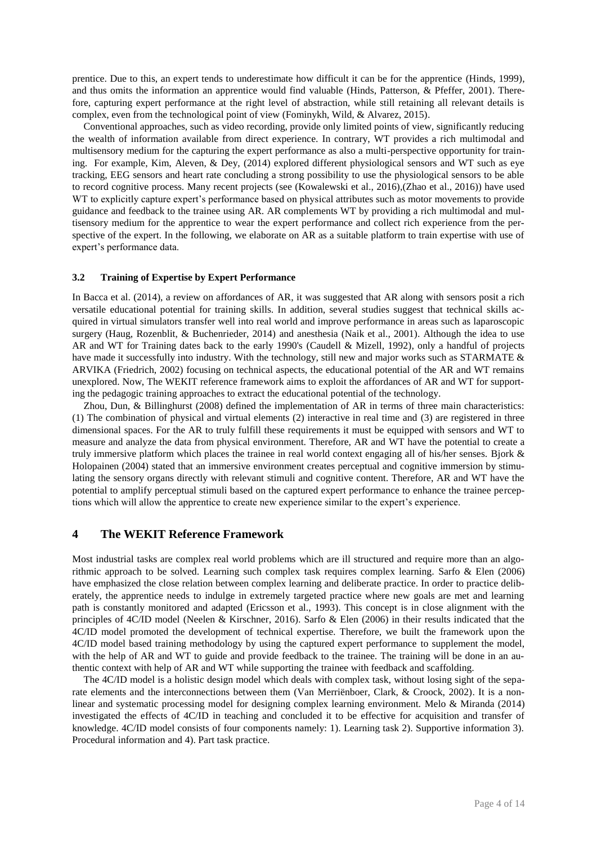prentice. Due to this, an expert tends to underestimate how difficult it can be for the apprentice (Hinds, 1999), and thus omits the information an apprentice would find valuable (Hinds, Patterson, & Pfeffer, 2001). Therefore, capturing expert performance at the right level of abstraction, while still retaining all relevant details is complex, even from the technological point of view (Fominykh, Wild, & Alvarez, 2015).

Conventional approaches, such as video recording, provide only limited points of view, significantly reducing the wealth of information available from direct experience. In contrary, WT provides a rich multimodal and multisensory medium for the capturing the expert performance as also a multi-perspective opportunity for training. For example, Kim, Aleven, & Dey, (2014) explored different physiological sensors and WT such as eye tracking, EEG sensors and heart rate concluding a strong possibility to use the physiological sensors to be able to record cognitive process. Many recent projects (see (Kowalewski et al., 2016),(Zhao et al., 2016)) have used WT to explicitly capture expert's performance based on physical attributes such as motor movements to provide guidance and feedback to the trainee using AR. AR complements WT by providing a rich multimodal and multisensory medium for the apprentice to wear the expert performance and collect rich experience from the perspective of the expert. In the following, we elaborate on AR as a suitable platform to train expertise with use of expert's performance data.

#### **3.2 Training of Expertise by Expert Performance**

In Bacca et al. (2014), a review on affordances of AR, it was suggested that AR along with sensors posit a rich versatile educational potential for training skills. In addition, several studies suggest that technical skills acquired in virtual simulators transfer well into real world and improve performance in areas such as laparoscopic surgery (Haug, Rozenblit, & Buchenrieder, 2014) and anesthesia (Naik et al., 2001). Although the idea to use AR and WT for Training dates back to the early 1990's (Caudell & Mizell, 1992), only a handful of projects have made it successfully into industry. With the technology, still new and major works such as STARMATE & ARVIKA (Friedrich, 2002) focusing on technical aspects, the educational potential of the AR and WT remains unexplored. Now, The WEKIT reference framework aims to exploit the affordances of AR and WT for supporting the pedagogic training approaches to extract the educational potential of the technology.

Zhou, Dun, & Billinghurst (2008) defined the implementation of AR in terms of three main characteristics:  $(1)$  The combination of physical and virtual elements  $(2)$  interactive in real time and  $(3)$  are registered in three dimensional spaces. For the AR to truly fulfill these requirements it must be equipped with sensors and WT to measure and analyze the data from physical environment. Therefore, AR and WT have the potential to create a truly immersive platform which places the trainee in real world context engaging all of his/her senses. Bjork & Holopainen (2004) stated that an immersive environment creates perceptual and cognitive immersion by stimulating the sensory organs directly with relevant stimuli and cognitive content. Therefore, AR and WT have the potential to amplify perceptual stimuli based on the captured expert performance to enhance the trainee perceptions which will allow the apprentice to create new experience similar to the expert's experience.

### **4 The WEKIT Reference Framework**

Most industrial tasks are complex real world problems which are ill structured and require more than an algorithmic approach to be solved. Learning such complex task requires complex learning. Sarfo & Elen (2006) have emphasized the close relation between complex learning and deliberate practice. In order to practice deliberately, the apprentice needs to indulge in extremely targeted practice where new goals are met and learning path is constantly monitored and adapted (Ericsson et al., 1993). This concept is in close alignment with the principles of 4C/ID model (Neelen & Kirschner, 2016). Sarfo & Elen (2006) in their results indicated that the 4C/ID model promoted the development of technical expertise. Therefore, we built the framework upon the 4C/ID model based training methodology by using the captured expert performance to supplement the model, with the help of AR and WT to guide and provide feedback to the trainee. The training will be done in an authentic context with help of AR and WT while supporting the trainee with feedback and scaffolding.

The 4C/ID model is a holistic design model which deals with complex task, without losing sight of the separate elements and the interconnections between them (Van Merriënboer, Clark, & Croock, 2002). It is a nonlinear and systematic processing model for designing complex learning environment. Melo & Miranda (2014) investigated the effects of 4C/ID in teaching and concluded it to be effective for acquisition and transfer of knowledge. 4C/ID model consists of four components namely: 1). Learning task 2). Supportive information 3). Procedural information and 4). Part task practice.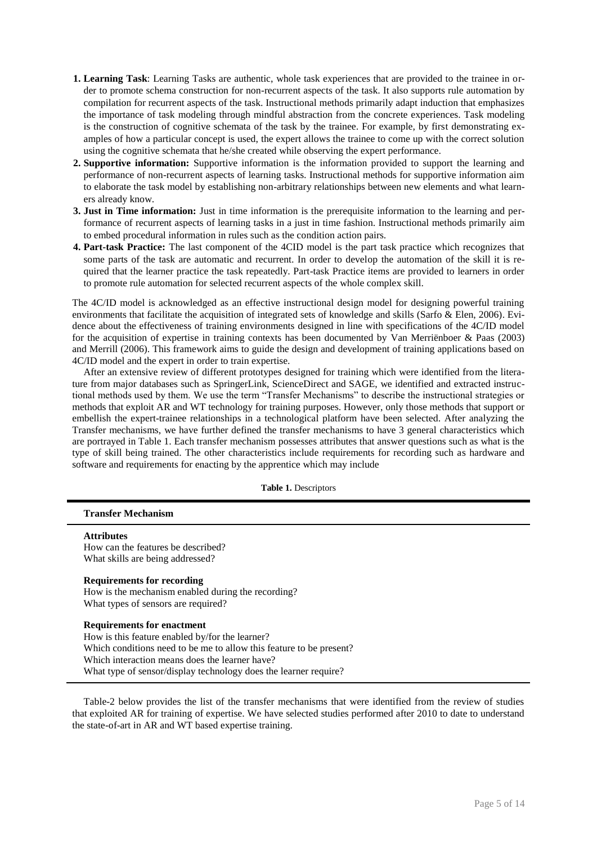- **1. Learning Task**: Learning Tasks are authentic, whole task experiences that are provided to the trainee in order to promote schema construction for non-recurrent aspects of the task. It also supports rule automation by compilation for recurrent aspects of the task. Instructional methods primarily adapt induction that emphasizes the importance of task modeling through mindful abstraction from the concrete experiences. Task modeling is the construction of cognitive schemata of the task by the trainee. For example, by first demonstrating examples of how a particular concept is used, the expert allows the trainee to come up with the correct solution using the cognitive schemata that he/she created while observing the expert performance.
- **2. Supportive information:** Supportive information is the information provided to support the learning and performance of non-recurrent aspects of learning tasks. Instructional methods for supportive information aim to elaborate the task model by establishing non-arbitrary relationships between new elements and what learners already know.
- **3. Just in Time information:** Just in time information is the prerequisite information to the learning and performance of recurrent aspects of learning tasks in a just in time fashion. Instructional methods primarily aim to embed procedural information in rules such as the condition action pairs.
- **4. Part-task Practice:** The last component of the 4CID model is the part task practice which recognizes that some parts of the task are automatic and recurrent. In order to develop the automation of the skill it is required that the learner practice the task repeatedly. Part-task Practice items are provided to learners in order to promote rule automation for selected recurrent aspects of the whole complex skill.

The 4C/ID model is acknowledged as an effective instructional design model for designing powerful training environments that facilitate the acquisition of integrated sets of knowledge and skills (Sarfo & Elen, 2006). Evidence about the effectiveness of training environments designed in line with specifications of the 4C/ID model for the acquisition of expertise in training contexts has been documented by Van Merriënboer & Paas (2003) and Merrill (2006). This framework aims to guide the design and development of training applications based on 4C/ID model and the expert in order to train expertise.

After an extensive review of different prototypes designed for training which were identified from the literature from major databases such as SpringerLink, ScienceDirect and SAGE, we identified and extracted instructional methods used by them. We use the term "Transfer Mechanisms" to describe the instructional strategies or methods that exploit AR and WT technology for training purposes. However, only those methods that support or embellish the expert-trainee relationships in a technological platform have been selected. After analyzing the Transfer mechanisms, we have further defined the transfer mechanisms to have 3 general characteristics which are portrayed in Table 1. Each transfer mechanism possesses attributes that answer questions such as what is the type of skill being trained. The other characteristics include requirements for recording such as hardware and software and requirements for enacting by the apprentice which may include

**Table 1.** Descriptors

|  | <b>Transfer Mechanism</b> |
|--|---------------------------|
|--|---------------------------|

**Attributes**

How can the features be described? What skills are being addressed?

#### **Requirements for recording**

How is the mechanism enabled during the recording? What types of sensors are required?

### **Requirements for enactment**

How is this feature enabled by/for the learner? Which conditions need to be me to allow this feature to be present? Which interaction means does the learner have? What type of sensor/display technology does the learner require?

Table-2 below provides the list of the transfer mechanisms that were identified from the review of studies that exploited AR for training of expertise. We have selected studies performed after 2010 to date to understand the state-of-art in AR and WT based expertise training.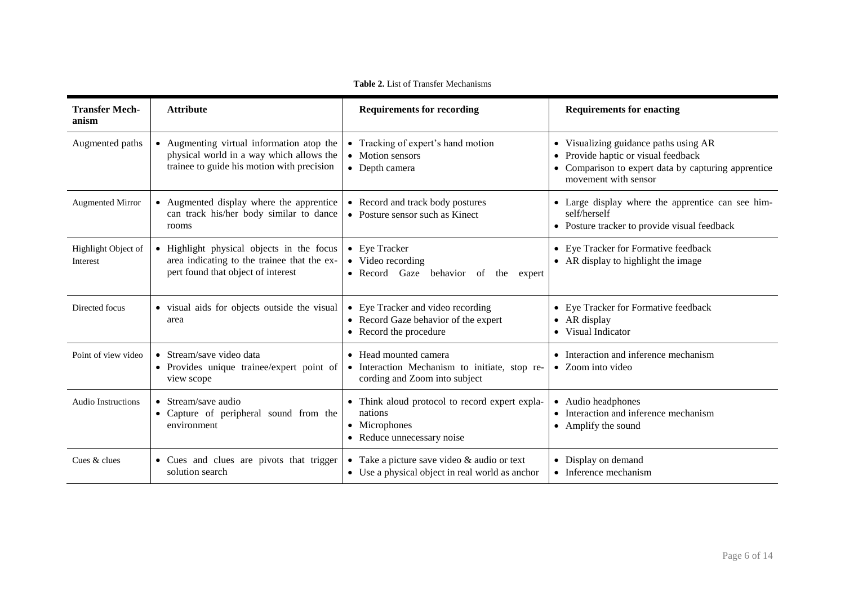| <b>Transfer Mech-</b><br>anism  | <b>Attribute</b>                                                                                                                    | <b>Requirements for recording</b>                                                                        | <b>Requirements for enacting</b>                                                                                                                                                             |
|---------------------------------|-------------------------------------------------------------------------------------------------------------------------------------|----------------------------------------------------------------------------------------------------------|----------------------------------------------------------------------------------------------------------------------------------------------------------------------------------------------|
| Augmented paths                 | • Augmenting virtual information atop the<br>physical world in a way which allows the<br>trainee to guide his motion with precision | • Tracking of expert's hand motion<br>• Motion sensors<br>• Depth camera                                 | Visualizing guidance paths using AR<br>$\bullet$<br>Provide haptic or visual feedback<br>$\bullet$<br>Comparison to expert data by capturing apprentice<br>$\bullet$<br>movement with sensor |
| <b>Augmented Mirror</b>         | • Augmented display where the apprentice<br>can track his/her body similar to dance<br>rooms                                        | • Record and track body postures<br>• Posture sensor such as Kinect                                      | • Large display where the apprentice can see him-<br>self/herself<br>• Posture tracker to provide visual feedback                                                                            |
| Highlight Object of<br>Interest | • Highlight physical objects in the focus<br>area indicating to the trainee that the ex-<br>pert found that object of interest      | • Eye Tracker<br>• Video recording<br>• Record Gaze<br>behavior of<br>the<br>expert                      | • Eye Tracker for Formative feedback<br>• AR display to highlight the image                                                                                                                  |
| Directed focus                  | • visual aids for objects outside the visual<br>area                                                                                | • Eye Tracker and video recording<br>• Record Gaze behavior of the expert<br>• Record the procedure      | Eye Tracker for Formative feedback<br>$\bullet$<br>AR display<br>$\bullet$<br>Visual Indicator<br>$\bullet$                                                                                  |
| Point of view video             | • Stream/save video data<br>• Provides unique trainee/expert point of<br>view scope                                                 | • Head mounted camera<br>• Interaction Mechanism to initiate, stop re-<br>cording and Zoom into subject  | • Interaction and inference mechanism<br>• Zoom into video                                                                                                                                   |
| <b>Audio Instructions</b>       | • Stream/save audio<br>• Capture of peripheral sound from the<br>environment                                                        | • Think aloud protocol to record expert expla-<br>nations<br>• Microphones<br>• Reduce unnecessary noise | Audio headphones<br>Interaction and inference mechanism<br>$\bullet$<br>Amplify the sound<br>$\bullet$                                                                                       |
| Cues & clues                    | • Cues and clues are pivots that trigger<br>solution search                                                                         | • Take a picture save video $&$ audio or text<br>• Use a physical object in real world as anchor         | • Display on demand<br>• Inference mechanism                                                                                                                                                 |

**Table 2.** List of Transfer Mechanisms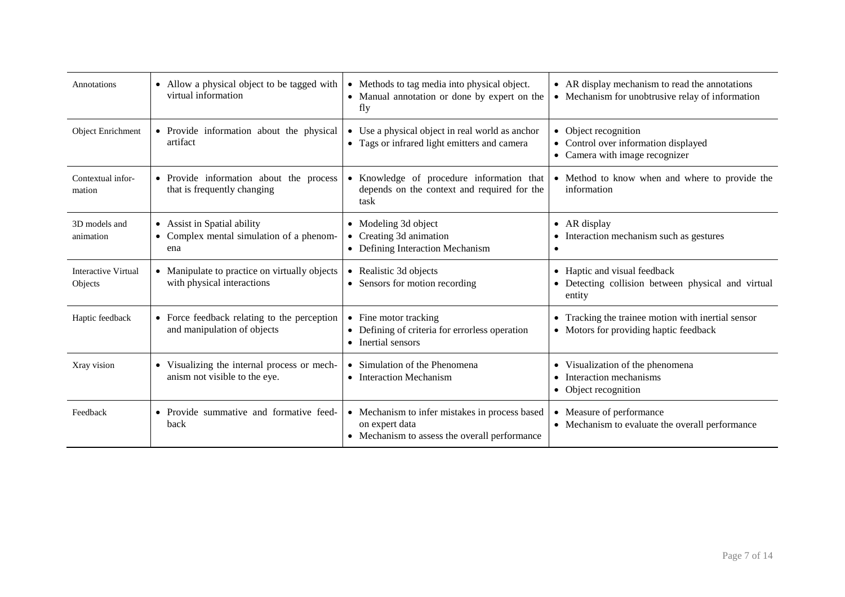| Annotations                           | • Allow a physical object to be tagged with<br>virtual information             | • Methods to tag media into physical object.<br>• Manual annotation or done by expert on the<br>fly               | • AR display mechanism to read the annotations<br>• Mechanism for unobtrusive relay of information |
|---------------------------------------|--------------------------------------------------------------------------------|-------------------------------------------------------------------------------------------------------------------|----------------------------------------------------------------------------------------------------|
| <b>Object Enrichment</b>              | • Provide information about the physical<br>artifact                           | • Use a physical object in real world as anchor<br>• Tags or infrared light emitters and camera                   | • Object recognition<br>• Control over information displayed<br>• Camera with image recognizer     |
| Contextual infor-<br>mation           | • Provide information about the process<br>that is frequently changing         | • Knowledge of procedure information that<br>depends on the context and required for the<br>task                  | • Method to know when and where to provide the<br>information                                      |
| 3D models and<br>animation            | • Assist in Spatial ability<br>• Complex mental simulation of a phenom-<br>ena | • Modeling 3d object<br>Creating 3d animation<br>• Defining Interaction Mechanism                                 | AR display<br>$\bullet$<br>Interaction mechanism such as gestures                                  |
| <b>Interactive Virtual</b><br>Objects | • Manipulate to practice on virtually objects<br>with physical interactions    | • Realistic 3d objects<br>• Sensors for motion recording                                                          | • Haptic and visual feedback<br>• Detecting collision between physical and virtual<br>entity       |
| Haptic feedback                       | • Force feedback relating to the perception<br>and manipulation of objects     | Fine motor tracking<br>• Defining of criteria for errorless operation<br>• Inertial sensors                       | Tracking the trainee motion with inertial sensor<br>• Motors for providing haptic feedback         |
| Xray vision                           | • Visualizing the internal process or mech-<br>anism not visible to the eye.   | • Simulation of the Phenomena<br>• Interaction Mechanism                                                          | • Visualization of the phenomena<br>Interaction mechanisms<br>• Object recognition                 |
| Feedback                              | • Provide summative and formative feed-<br>back                                | • Mechanism to infer mistakes in process based<br>on expert data<br>• Mechanism to assess the overall performance | Measure of performance<br>• Mechanism to evaluate the overall performance                          |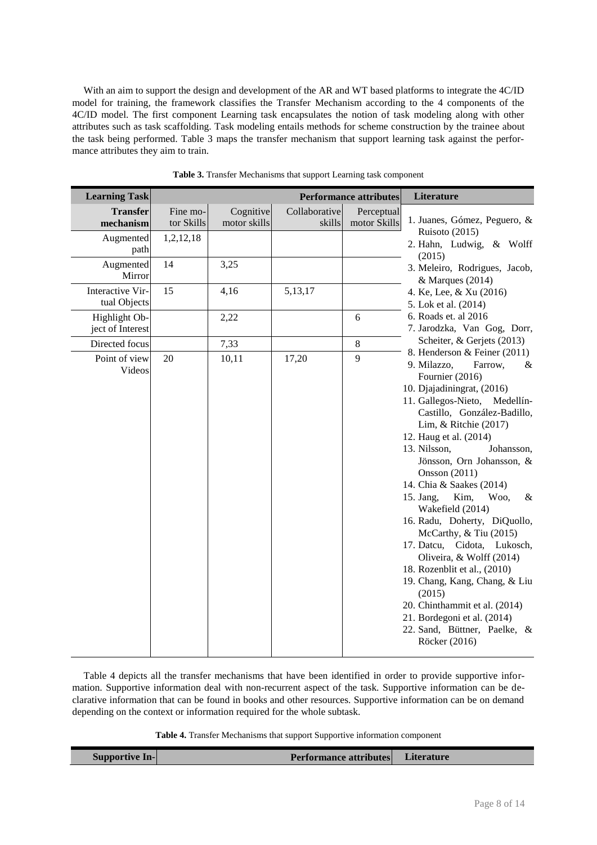With an aim to support the design and development of the AR and WT based platforms to integrate the 4C/ID model for training, the framework classifies the Transfer Mechanism according to the 4 components of the 4C/ID model. The first component Learning task encapsulates the notion of task modeling along with other attributes such as task scaffolding. Task modeling entails methods for scheme construction by the trainee about the task being performed. Table 3 maps the transfer mechanism that support learning task against the performance attributes they aim to train.

| <b>Learning Task</b>              |                        |                           |                         | <b>Performance attributes</b> | Literature                                                                                                                                                                                                                                                                                                                                                                                                                                                                                                                                                                                                                                                                                            |
|-----------------------------------|------------------------|---------------------------|-------------------------|-------------------------------|-------------------------------------------------------------------------------------------------------------------------------------------------------------------------------------------------------------------------------------------------------------------------------------------------------------------------------------------------------------------------------------------------------------------------------------------------------------------------------------------------------------------------------------------------------------------------------------------------------------------------------------------------------------------------------------------------------|
| <b>Transfer</b><br>mechanism      | Fine mo-<br>tor Skills | Cognitive<br>motor skills | Collaborative<br>skills | Perceptual<br>motor Skills    | 1. Juanes, Gómez, Peguero, &                                                                                                                                                                                                                                                                                                                                                                                                                                                                                                                                                                                                                                                                          |
| Augmented<br>path                 | 1,2,12,18              |                           |                         |                               | Ruisoto (2015)<br>2. Hahn, Ludwig, & Wolff<br>(2015)                                                                                                                                                                                                                                                                                                                                                                                                                                                                                                                                                                                                                                                  |
| Augmented<br>Mirror               | 14                     | 3,25                      |                         |                               | 3. Meleiro, Rodrigues, Jacob,<br>& Marques (2014)                                                                                                                                                                                                                                                                                                                                                                                                                                                                                                                                                                                                                                                     |
| Interactive Vir-<br>tual Objects  | 15                     | 4,16                      | 5,13,17                 |                               | 4. Ke, Lee, & Xu (2016)<br>5. Lok et al. (2014)                                                                                                                                                                                                                                                                                                                                                                                                                                                                                                                                                                                                                                                       |
| Highlight Ob-<br>ject of Interest |                        | 2,22                      |                         | 6                             | 6. Roads et. al 2016<br>7. Jarodzka, Van Gog, Dorr,                                                                                                                                                                                                                                                                                                                                                                                                                                                                                                                                                                                                                                                   |
| Directed focus                    |                        | 7,33                      |                         | $\,8\,$                       | Scheiter, & Gerjets (2013)                                                                                                                                                                                                                                                                                                                                                                                                                                                                                                                                                                                                                                                                            |
| Point of view<br>Videos           | 20                     | 10,11                     | 17,20                   | 9                             | 8. Henderson & Feiner (2011)<br>9. Milazzo,<br>Farrow,<br>&<br>Fournier (2016)<br>10. Djajadiningrat, (2016)<br>11. Gallegos-Nieto,<br>Medellín-<br>Castillo, González-Badillo,<br>Lim, & Ritchie $(2017)$<br>12. Haug et al. (2014)<br>13. Nilsson,<br>Johansson,<br>Jönsson, Orn Johansson, &<br>Onsson (2011)<br>14. Chia & Saakes (2014)<br>Kim,<br>Woo,<br>15. Jang,<br>$\&$<br>Wakefield (2014)<br>16. Radu, Doherty, DiQuollo,<br>McCarthy, & Tiu (2015)<br>17. Datcu, Cidota, Lukosch,<br>Oliveira, & Wolff (2014)<br>18. Rozenblit et al., (2010)<br>19. Chang, Kang, Chang, & Liu<br>(2015)<br>20. Chinthammit et al. (2014)<br>21. Bordegoni et al. (2014)<br>22. Sand, Büttner, Paelke, & |

**Table 3.** Transfer Mechanisms that support Learning task component

Table 4 depicts all the transfer mechanisms that have been identified in order to provide supportive information. Supportive information deal with non-recurrent aspect of the task. Supportive information can be declarative information that can be found in books and other resources. Supportive information can be on demand depending on the context or information required for the whole subtask.

**Table 4.** Transfer Mechanisms that support Supportive information component

|--|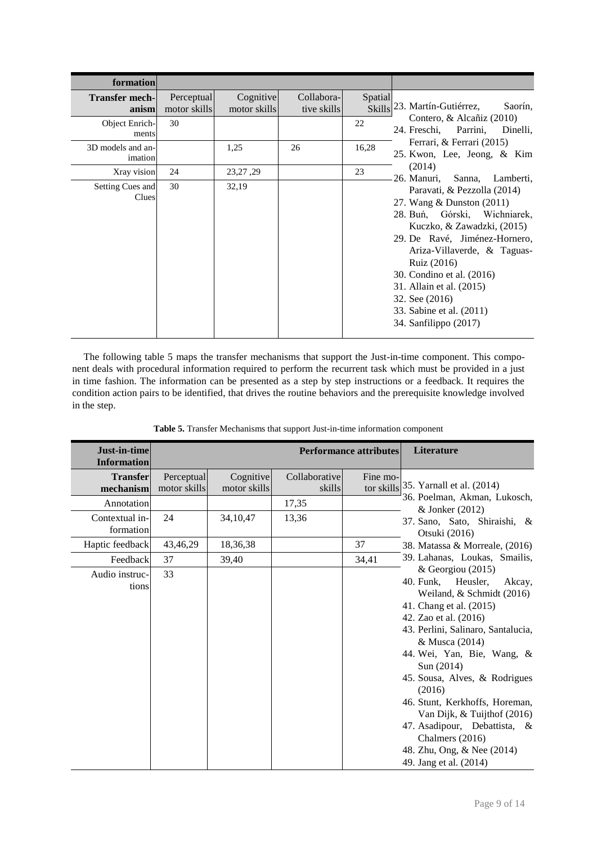| formation                      |                            |                           |                           |         |                                                                                                                                                                                                                                                                                                                                       |
|--------------------------------|----------------------------|---------------------------|---------------------------|---------|---------------------------------------------------------------------------------------------------------------------------------------------------------------------------------------------------------------------------------------------------------------------------------------------------------------------------------------|
| <b>Transfer mech-</b><br>anism | Perceptual<br>motor skills | Cognitive<br>motor skills | Collabora-<br>tive skills | Spatial | Skills <sup>23</sup> . Martín-Gutiérrez,<br>Saorín,                                                                                                                                                                                                                                                                                   |
| Object Enrich-<br>ments        | 30                         |                           |                           | 22      | Contero, & Alcañiz (2010)<br>24. Freschi, Parrini,<br>Dinelli,                                                                                                                                                                                                                                                                        |
| 3D models and an-<br>imation   |                            | 1,25                      | 26                        | 16,28   | Ferrari, & Ferrari (2015)<br>25. Kwon, Lee, Jeong, & Kim                                                                                                                                                                                                                                                                              |
| Xray vision                    | 24                         | 23, 27, 29                |                           | 23      | (2014)<br>26. Manuri,<br>Sanna,<br>Lamberti,                                                                                                                                                                                                                                                                                          |
| Setting Cues and<br>Clues      | 30                         | 32,19                     |                           |         | Paravati, & Pezzolla (2014)<br>27. Wang & Dunston (2011)<br>28. Buń, Górski, Wichniarek,<br>Kuczko, & Zawadzki, (2015)<br>29. De Ravé, Jiménez-Hornero,<br>Ariza-Villaverde, & Taguas-<br>Ruiz (2016)<br>30. Condino et al. (2016)<br>31. Allain et al. (2015)<br>32. See (2016)<br>33. Sabine et al. (2011)<br>34. Sanfilippo (2017) |

The following table 5 maps the transfer mechanisms that support the Just-in-time component. This component deals with procedural information required to perform the recurrent task which must be provided in a just in time fashion. The information can be presented as a step by step instructions or a feedback. It requires the condition action pairs to be identified, that drives the routine behaviors and the prerequisite knowledge involved in the step.

| Just-in-time<br><b>Information</b> | <b>Performance attributes</b> |                           |                         |          | Literature                                                                                                                                                                                                                                                                                                                                                                                                                             |
|------------------------------------|-------------------------------|---------------------------|-------------------------|----------|----------------------------------------------------------------------------------------------------------------------------------------------------------------------------------------------------------------------------------------------------------------------------------------------------------------------------------------------------------------------------------------------------------------------------------------|
| <b>Transfer</b><br>mechanism       | Perceptual<br>motor skills    | Cognitive<br>motor skills | Collaborative<br>skills | Fine mo- | tor skills 35. Yarnall et al. (2014)                                                                                                                                                                                                                                                                                                                                                                                                   |
| Annotation                         |                               |                           | 17,35                   |          | 36. Poelman, Akman, Lukosch,<br>& Jonker (2012)                                                                                                                                                                                                                                                                                                                                                                                        |
| Contextual in-<br>formation        | 24                            | 34, 10, 47                | 13,36                   |          | 37. Sano, Sato, Shiraishi, &<br>Otsuki (2016)                                                                                                                                                                                                                                                                                                                                                                                          |
| Haptic feedback                    | 43,46,29                      | 18,36,38                  |                         | 37       | 38. Matassa & Morreale, (2016)                                                                                                                                                                                                                                                                                                                                                                                                         |
| Feedback                           | 37                            | 39,40                     |                         | 34,41    | 39. Lahanas, Loukas, Smailis,                                                                                                                                                                                                                                                                                                                                                                                                          |
| Audio instruc-<br>tions            | 33                            |                           |                         |          | & Georgiou (2015)<br>Heusler,<br>40. Funk,<br>Akcay,<br>Weiland, & Schmidt (2016)<br>41. Chang et al. (2015)<br>42. Zao et al. (2016)<br>43. Perlini, Salinaro, Santalucia,<br>& Musca (2014)<br>44. Wei, Yan, Bie, Wang, &<br>Sun (2014)<br>45. Sousa, Alves, & Rodrigues<br>(2016)<br>46. Stunt, Kerkhoffs, Horeman,<br>Van Dijk, & Tuijthof (2016)<br>47. Asadipour, Debattista, &<br>Chalmers (2016)<br>48. Zhu, Ong, & Nee (2014) |

**Table 5.** Transfer Mechanisms that support Just-in-time information component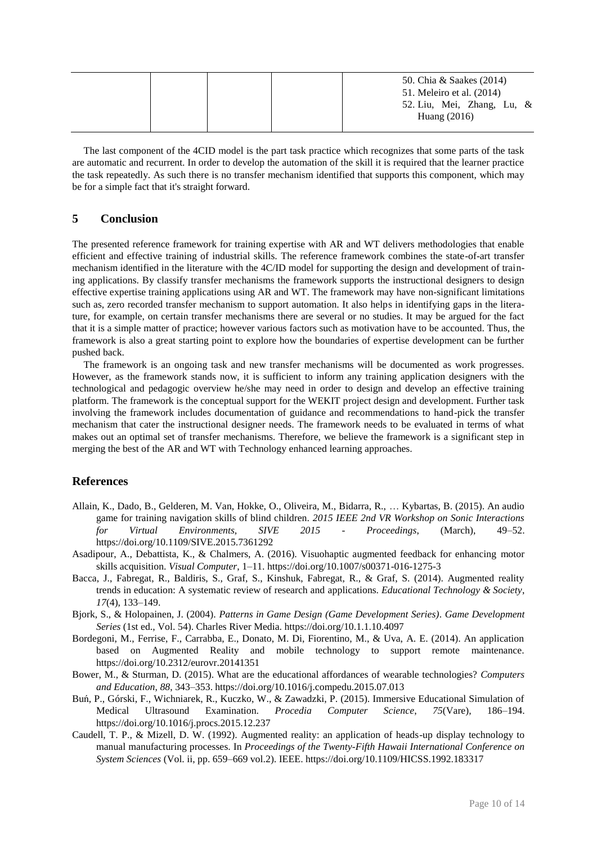|  |  | 50. Chia & Saakes (2014)<br>51. Meleiro et al. (2014)<br>52. Liu, Mei, Zhang, Lu, & |
|--|--|-------------------------------------------------------------------------------------|
|  |  | Huang $(2016)$                                                                      |

The last component of the 4CID model is the part task practice which recognizes that some parts of the task are automatic and recurrent. In order to develop the automation of the skill it is required that the learner practice the task repeatedly. As such there is no transfer mechanism identified that supports this component, which may be for a simple fact that it's straight forward.

### **5 Conclusion**

The presented reference framework for training expertise with AR and WT delivers methodologies that enable efficient and effective training of industrial skills. The reference framework combines the state-of-art transfer mechanism identified in the literature with the 4C/ID model for supporting the design and development of training applications. By classify transfer mechanisms the framework supports the instructional designers to design effective expertise training applications using AR and WT. The framework may have non-significant limitations such as, zero recorded transfer mechanism to support automation. It also helps in identifying gaps in the literature, for example, on certain transfer mechanisms there are several or no studies. It may be argued for the fact that it is a simple matter of practice; however various factors such as motivation have to be accounted. Thus, the framework is also a great starting point to explore how the boundaries of expertise development can be further pushed back.

The framework is an ongoing task and new transfer mechanisms will be documented as work progresses. However, as the framework stands now, it is sufficient to inform any training application designers with the technological and pedagogic overview he/she may need in order to design and develop an effective training platform. The framework is the conceptual support for the WEKIT project design and development. Further task involving the framework includes documentation of guidance and recommendations to hand-pick the transfer mechanism that cater the instructional designer needs. The framework needs to be evaluated in terms of what makes out an optimal set of transfer mechanisms. Therefore, we believe the framework is a significant step in merging the best of the AR and WT with Technology enhanced learning approaches.

### **References**

- Allain, K., Dado, B., Gelderen, M. Van, Hokke, O., Oliveira, M., Bidarra, R., … Kybartas, B. (2015). An audio game for training navigation skills of blind children. *2015 IEEE 2nd VR Workshop on Sonic Interactions for Virtual Environments, SIVE 2015 - Proceedings*, (March), 49–52. https://doi.org/10.1109/SIVE.2015.7361292
- Asadipour, A., Debattista, K., & Chalmers, A. (2016). Visuohaptic augmented feedback for enhancing motor skills acquisition. *Visual Computer*, 1–11. https://doi.org/10.1007/s00371-016-1275-3
- Bacca, J., Fabregat, R., Baldiris, S., Graf, S., Kinshuk, Fabregat, R., & Graf, S. (2014). Augmented reality trends in education: A systematic review of research and applications. *Educational Technology & Society*, *17*(4), 133–149.
- Bjork, S., & Holopainen, J. (2004). *Patterns in Game Design (Game Development Series)*. *Game Development Series* (1st ed., Vol. 54). Charles River Media. https://doi.org/10.1.1.10.4097
- Bordegoni, M., Ferrise, F., Carrabba, E., Donato, M. Di, Fiorentino, M., & Uva, A. E. (2014). An application based on Augmented Reality and mobile technology to support remote maintenance. https://doi.org/10.2312/eurovr.20141351
- Bower, M., & Sturman, D. (2015). What are the educational affordances of wearable technologies? *Computers and Education*, *88*, 343–353. https://doi.org/10.1016/j.compedu.2015.07.013
- Buń, P., Górski, F., Wichniarek, R., Kuczko, W., & Zawadzki, P. (2015). Immersive Educational Simulation of Medical Ultrasound Examination. *Procedia Computer Science*, *75*(Vare), 186–194. https://doi.org/10.1016/j.procs.2015.12.237
- Caudell, T. P., & Mizell, D. W. (1992). Augmented reality: an application of heads-up display technology to manual manufacturing processes. In *Proceedings of the Twenty-Fifth Hawaii International Conference on System Sciences* (Vol. ii, pp. 659–669 vol.2). IEEE. https://doi.org/10.1109/HICSS.1992.183317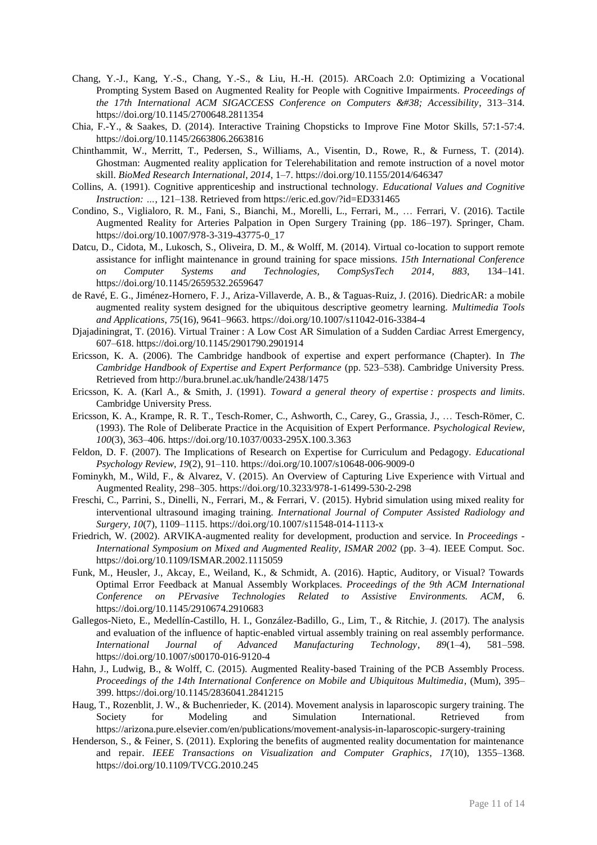- Chang, Y.-J., Kang, Y.-S., Chang, Y.-S., & Liu, H.-H. (2015). ARCoach 2.0: Optimizing a Vocational Prompting System Based on Augmented Reality for People with Cognitive Impairments. *Proceedings of*  the 17th International ACM SIGACCESS Conference on Computers & Accessibility, 313-314. https://doi.org/10.1145/2700648.2811354
- Chia, F.-Y., & Saakes, D. (2014). Interactive Training Chopsticks to Improve Fine Motor Skills, 57:1-57:4. https://doi.org/10.1145/2663806.2663816
- Chinthammit, W., Merritt, T., Pedersen, S., Williams, A., Visentin, D., Rowe, R., & Furness, T. (2014). Ghostman: Augmented reality application for Telerehabilitation and remote instruction of a novel motor skill. *BioMed Research International*, *2014*, 1–7. https://doi.org/10.1155/2014/646347
- Collins, A. (1991). Cognitive apprenticeship and instructional technology. *Educational Values and Cognitive Instruction: …*, 121–138. Retrieved from https://eric.ed.gov/?id=ED331465
- Condino, S., Viglialoro, R. M., Fani, S., Bianchi, M., Morelli, L., Ferrari, M., … Ferrari, V. (2016). Tactile Augmented Reality for Arteries Palpation in Open Surgery Training (pp. 186–197). Springer, Cham. https://doi.org/10.1007/978-3-319-43775-0\_17
- Datcu, D., Cidota, M., Lukosch, S., Oliveira, D. M., & Wolff, M. (2014). Virtual co-location to support remote assistance for inflight maintenance in ground training for space missions. *15th International Conference on Computer Systems and Technologies, CompSysTech 2014*, *883*, 134–141. https://doi.org/10.1145/2659532.2659647
- de Ravé, E. G., Jiménez-Hornero, F. J., Ariza-Villaverde, A. B., & Taguas-Ruiz, J. (2016). DiedricAR: a mobile augmented reality system designed for the ubiquitous descriptive geometry learning. *Multimedia Tools and Applications*, *75*(16), 9641–9663. https://doi.org/10.1007/s11042-016-3384-4
- Djajadiningrat, T. (2016). Virtual Trainer : A Low Cost AR Simulation of a Sudden Cardiac Arrest Emergency, 607–618. https://doi.org/10.1145/2901790.2901914
- Ericsson, K. A. (2006). The Cambridge handbook of expertise and expert performance (Chapter). In *The Cambridge Handbook of Expertise and Expert Performance* (pp. 523–538). Cambridge University Press. Retrieved from http://bura.brunel.ac.uk/handle/2438/1475
- Ericsson, K. A. (Karl A., & Smith, J. (1991). *Toward a general theory of expertise : prospects and limits*. Cambridge University Press.
- Ericsson, K. A., Krampe, R. R. T., Tesch-Romer, C., Ashworth, C., Carey, G., Grassia, J., … Tesch-Römer, C. (1993). The Role of Deliberate Practice in the Acquisition of Expert Performance. *Psychological Review*, *100*(3), 363–406. https://doi.org/10.1037/0033-295X.100.3.363
- Feldon, D. F. (2007). The Implications of Research on Expertise for Curriculum and Pedagogy. *Educational Psychology Review*, *19*(2), 91–110. https://doi.org/10.1007/s10648-006-9009-0
- Fominykh, M., Wild, F., & Alvarez, V. (2015). An Overview of Capturing Live Experience with Virtual and Augmented Reality, 298–305. https://doi.org/10.3233/978-1-61499-530-2-298
- Freschi, C., Parrini, S., Dinelli, N., Ferrari, M., & Ferrari, V. (2015). Hybrid simulation using mixed reality for interventional ultrasound imaging training. *International Journal of Computer Assisted Radiology and Surgery*, *10*(7), 1109–1115. https://doi.org/10.1007/s11548-014-1113-x
- Friedrich, W. (2002). ARVIKA-augmented reality for development, production and service. In *Proceedings - International Symposium on Mixed and Augmented Reality, ISMAR 2002* (pp. 3–4). IEEE Comput. Soc. https://doi.org/10.1109/ISMAR.2002.1115059
- Funk, M., Heusler, J., Akcay, E., Weiland, K., & Schmidt, A. (2016). Haptic, Auditory, or Visual? Towards Optimal Error Feedback at Manual Assembly Workplaces. *Proceedings of the 9th ACM International Conference on PErvasive Technologies Related to Assistive Environments. ACM,* https://doi.org/10.1145/2910674.2910683
- Gallegos-Nieto, E., Medellín-Castillo, H. I., González-Badillo, G., Lim, T., & Ritchie, J. (2017). The analysis and evaluation of the influence of haptic-enabled virtual assembly training on real assembly performance. *International Journal of Advanced Manufacturing Technology*, *89*(1–4), 581–598. https://doi.org/10.1007/s00170-016-9120-4
- Hahn, J., Ludwig, B., & Wolff, C. (2015). Augmented Reality-based Training of the PCB Assembly Process. *Proceedings of the 14th International Conference on Mobile and Ubiquitous Multimedia*, (Mum), 395– 399. https://doi.org/10.1145/2836041.2841215
- Haug, T., Rozenblit, J. W., & Buchenrieder, K. (2014). Movement analysis in laparoscopic surgery training. The Society for Modeling and Simulation International. Retrieved from https://arizona.pure.elsevier.com/en/publications/movement-analysis-in-laparoscopic-surgery-training
- Henderson, S., & Feiner, S. (2011). Exploring the benefits of augmented reality documentation for maintenance and repair. *IEEE Transactions on Visualization and Computer Graphics*, *17*(10), 1355–1368. https://doi.org/10.1109/TVCG.2010.245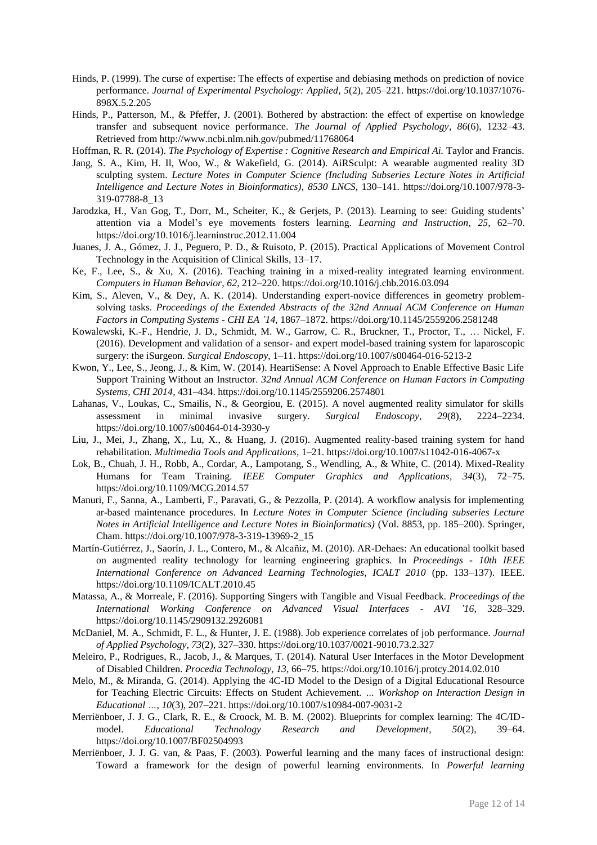- Hinds, P. (1999). The curse of expertise: The effects of expertise and debiasing methods on prediction of novice performance. *Journal of Experimental Psychology: Applied*, *5*(2), 205–221. https://doi.org/10.1037/1076- 898X.5.2.205
- Hinds, P., Patterson, M., & Pfeffer, J. (2001). Bothered by abstraction: the effect of expertise on knowledge transfer and subsequent novice performance. *The Journal of Applied Psychology*, *86*(6), 1232–43. Retrieved from http://www.ncbi.nlm.nih.gov/pubmed/11768064
- Hoffman, R. R. (2014). *The Psychology of Expertise : Cognitive Research and Empirical Ai.* Taylor and Francis.
- Jang, S. A., Kim, H. Il, Woo, W., & Wakefield, G. (2014). AiRSculpt: A wearable augmented reality 3D sculpting system. *Lecture Notes in Computer Science (Including Subseries Lecture Notes in Artificial Intelligence and Lecture Notes in Bioinformatics)*, *8530 LNCS*, 130–141. https://doi.org/10.1007/978-3- 319-07788-8\_13
- Jarodzka, H., Van Gog, T., Dorr, M., Scheiter, K., & Gerjets, P. (2013). Learning to see: Guiding students' attention via a Model's eye movements fosters learning. *Learning and Instruction*, *25*, 62–70. https://doi.org/10.1016/j.learninstruc.2012.11.004
- Juanes, J. A., Gómez, J. J., Peguero, P. D., & Ruisoto, P. (2015). Practical Applications of Movement Control Technology in the Acquisition of Clinical Skills, 13–17.
- Ke, F., Lee, S., & Xu, X. (2016). Teaching training in a mixed-reality integrated learning environment. *Computers in Human Behavior*, *62*, 212–220. https://doi.org/10.1016/j.chb.2016.03.094
- Kim, S., Aleven, V., & Dey, A. K. (2014). Understanding expert-novice differences in geometry problemsolving tasks. *Proceedings of the Extended Abstracts of the 32nd Annual ACM Conference on Human Factors in Computing Systems - CHI EA '14*, 1867–1872. https://doi.org/10.1145/2559206.2581248
- Kowalewski, K.-F., Hendrie, J. D., Schmidt, M. W., Garrow, C. R., Bruckner, T., Proctor, T., … Nickel, F. (2016). Development and validation of a sensor- and expert model-based training system for laparoscopic surgery: the iSurgeon. *Surgical Endoscopy*, 1–11. https://doi.org/10.1007/s00464-016-5213-2
- Kwon, Y., Lee, S., Jeong, J., & Kim, W. (2014). HeartiSense: A Novel Approach to Enable Effective Basic Life Support Training Without an Instructor. *32nd Annual ACM Conference on Human Factors in Computing Systems, CHI 2014*, 431–434. https://doi.org/10.1145/2559206.2574801
- Lahanas, V., Loukas, C., Smailis, N., & Georgiou, E. (2015). A novel augmented reality simulator for skills assessment in minimal invasive surgery. *Surgical Endoscopy*, *29*(8), 2224–2234. https://doi.org/10.1007/s00464-014-3930-y
- Liu, J., Mei, J., Zhang, X., Lu, X., & Huang, J. (2016). Augmented reality-based training system for hand rehabilitation. *Multimedia Tools and Applications*, 1–21. https://doi.org/10.1007/s11042-016-4067-x
- Lok, B., Chuah, J. H., Robb, A., Cordar, A., Lampotang, S., Wendling, A., & White, C. (2014). Mixed-Reality Humans for Team Training. *IEEE Computer Graphics and Applications*, *34*(3), 72–75. https://doi.org/10.1109/MCG.2014.57
- Manuri, F., Sanna, A., Lamberti, F., Paravati, G., & Pezzolla, P. (2014). A workflow analysis for implementing ar-based maintenance procedures. In *Lecture Notes in Computer Science (including subseries Lecture Notes in Artificial Intelligence and Lecture Notes in Bioinformatics)* (Vol. 8853, pp. 185–200). Springer, Cham. https://doi.org/10.1007/978-3-319-13969-2\_15
- Martín-Gutiérrez, J., Saorín, J. L., Contero, M., & Alcañiz, M. (2010). AR-Dehaes: An educational toolkit based on augmented reality technology for learning engineering graphics. In *Proceedings - 10th IEEE International Conference on Advanced Learning Technologies, ICALT 2010* (pp. 133–137). IEEE. https://doi.org/10.1109/ICALT.2010.45
- Matassa, A., & Morreale, F. (2016). Supporting Singers with Tangible and Visual Feedback. *Proceedings of the International Working Conference on Advanced Visual Interfaces - AVI '16*, 328–329. https://doi.org/10.1145/2909132.2926081
- McDaniel, M. A., Schmidt, F. L., & Hunter, J. E. (1988). Job experience correlates of job performance. *Journal of Applied Psychology*, *73*(2), 327–330. https://doi.org/10.1037/0021-9010.73.2.327
- Meleiro, P., Rodrigues, R., Jacob, J., & Marques, T. (2014). Natural User Interfaces in the Motor Development of Disabled Children. *Procedia Technology*, *13*, 66–75. https://doi.org/10.1016/j.protcy.2014.02.010
- Melo, M., & Miranda, G. (2014). Applying the 4C-ID Model to the Design of a Digital Educational Resource for Teaching Electric Circuits: Effects on Student Achievement. *… Workshop on Interaction Design in Educational …*, *10*(3), 207–221. https://doi.org/10.1007/s10984-007-9031-2
- Merriënboer, J. J. G., Clark, R. E., & Croock, M. B. M. (2002). Blueprints for complex learning: The 4C/IDmodel. *Educational Technology Research and Development*, *50*(2), 39–64. https://doi.org/10.1007/BF02504993
- Merriënboer, J. J. G. van, & Paas, F. (2003). Powerful learning and the many faces of instructional design: Toward a framework for the design of powerful learning environments. In *Powerful learning*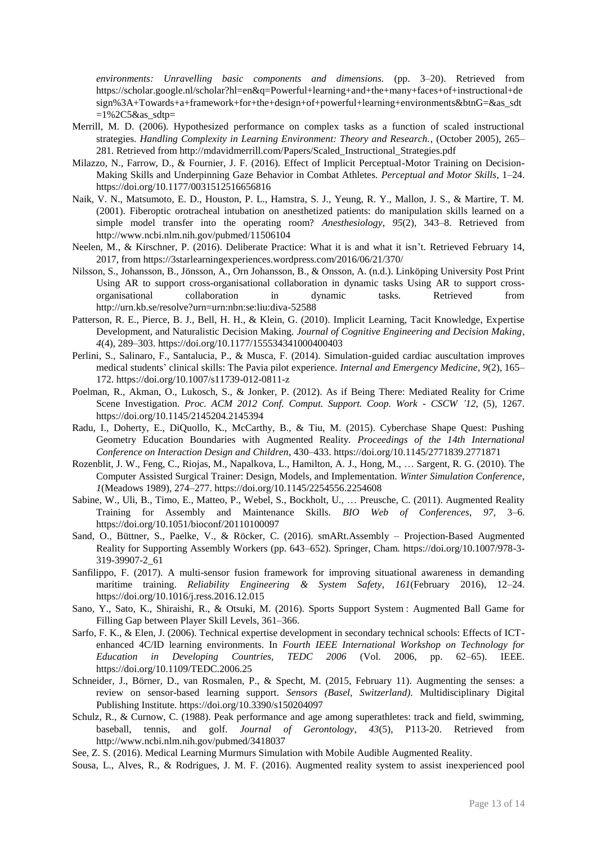*environments: Unravelling basic components and dimensions.* (pp. 3–20). Retrieved from https://scholar.google.nl/scholar?hl=en&q=Powerful+learning+and+the+many+faces+of+instructional+de sign%3A+Towards+a+framework+for+the+design+of+powerful+learning+environments&btnG=&as\_sdt  $=1\%2C5\&$ as sdtp=

- Merrill, M. D. (2006). Hypothesized performance on complex tasks as a function of scaled instructional strategies. *Handling Complexity in Learning Environment: Theory and Research.*, (October 2005), 265– 281. Retrieved from http://mdavidmerrill.com/Papers/Scaled\_Instructional\_Strategies.pdf
- Milazzo, N., Farrow, D., & Fournier, J. F. (2016). Effect of Implicit Perceptual-Motor Training on Decision-Making Skills and Underpinning Gaze Behavior in Combat Athletes. *Perceptual and Motor Skills*, 1–24. https://doi.org/10.1177/0031512516656816
- Naik, V. N., Matsumoto, E. D., Houston, P. L., Hamstra, S. J., Yeung, R. Y., Mallon, J. S., & Martire, T. M. (2001). Fiberoptic orotracheal intubation on anesthetized patients: do manipulation skills learned on a simple model transfer into the operating room? *Anesthesiology*, *95*(2), 343–8. Retrieved from http://www.ncbi.nlm.nih.gov/pubmed/11506104
- Neelen, M., & Kirschner, P. (2016). Deliberate Practice: What it is and what it isn't. Retrieved February 14, 2017, from https://3starlearningexperiences.wordpress.com/2016/06/21/370/
- Nilsson, S., Johansson, B., Jönsson, A., Orn Johansson, B., & Onsson, A. (n.d.). Linköping University Post Print Using AR to support cross-organisational collaboration in dynamic tasks Using AR to support crossorganisational collaboration in dynamic tasks. Retrieved from http://urn.kb.se/resolve?urn=urn:nbn:se:liu:diva-52588
- Patterson, R. E., Pierce, B. J., Bell, H. H., & Klein, G. (2010). Implicit Learning, Tacit Knowledge, Expertise Development, and Naturalistic Decision Making. *Journal of Cognitive Engineering and Decision Making*, *4*(4), 289–303. https://doi.org/10.1177/155534341000400403
- Perlini, S., Salinaro, F., Santalucia, P., & Musca, F. (2014). Simulation-guided cardiac auscultation improves medical students' clinical skills: The Pavia pilot experience. *Internal and Emergency Medicine*, *9*(2), 165– 172. https://doi.org/10.1007/s11739-012-0811-z
- Poelman, R., Akman, O., Lukosch, S., & Jonker, P. (2012). As if Being There: Mediated Reality for Crime Scene Investigation. *Proc. ACM 2012 Conf. Comput. Support. Coop. Work - CSCW '12*, (5), 1267. https://doi.org/10.1145/2145204.2145394
- Radu, I., Doherty, E., DiQuollo, K., McCarthy, B., & Tiu, M. (2015). Cyberchase Shape Quest: Pushing Geometry Education Boundaries with Augmented Reality. *Proceedings of the 14th International Conference on Interaction Design and Children*, 430–433. https://doi.org/10.1145/2771839.2771871
- Rozenblit, J. W., Feng, C., Riojas, M., Napalkova, L., Hamilton, A. J., Hong, M., … Sargent, R. G. (2010). The Computer Assisted Surgical Trainer: Design, Models, and Implementation. *Winter Simulation Conference*, *1*(Meadows 1989), 274–277. https://doi.org/10.1145/2254556.2254608
- Sabine, W., Uli, B., Timo, E., Matteo, P., Webel, S., Bockholt, U., … Preusche, C. (2011). Augmented Reality Training for Assembly and Maintenance Skills. *BIO Web of Conferences*, *97*, 3–6. https://doi.org/10.1051/bioconf/20110100097
- Sand, O., Büttner, S., Paelke, V., & Röcker, C. (2016). smARt.Assembly Projection-Based Augmented Reality for Supporting Assembly Workers (pp. 643–652). Springer, Cham. https://doi.org/10.1007/978-3- 319-39907-2\_61
- Sanfilippo, F. (2017). A multi-sensor fusion framework for improving situational awareness in demanding maritime training. *Reliability Engineering & System Safety*, *161*(February 2016), 12–24. https://doi.org/10.1016/j.ress.2016.12.015
- Sano, Y., Sato, K., Shiraishi, R., & Otsuki, M. (2016). Sports Support System : Augmented Ball Game for Filling Gap between Player Skill Levels, 361–366.
- Sarfo, F. K., & Elen, J. (2006). Technical expertise development in secondary technical schools: Effects of ICTenhanced 4C/ID learning environments. In *Fourth IEEE International Workshop on Technology for Education in Developing Countries, TEDC 2006* (Vol. 2006, pp. 62–65). IEEE. https://doi.org/10.1109/TEDC.2006.25
- Schneider, J., Börner, D., van Rosmalen, P., & Specht, M. (2015, February 11). Augmenting the senses: a review on sensor-based learning support. *Sensors (Basel, Switzerland)*. Multidisciplinary Digital Publishing Institute. https://doi.org/10.3390/s150204097
- Schulz, R., & Curnow, C. (1988). Peak performance and age among superathletes: track and field, swimming, baseball, tennis, and golf. *Journal of Gerontology*, *43*(5), P113-20. Retrieved from http://www.ncbi.nlm.nih.gov/pubmed/3418037
- See, Z. S. (2016). Medical Learning Murmurs Simulation with Mobile Audible Augmented Reality.
- Sousa, L., Alves, R., & Rodrigues, J. M. F. (2016). Augmented reality system to assist inexperienced pool